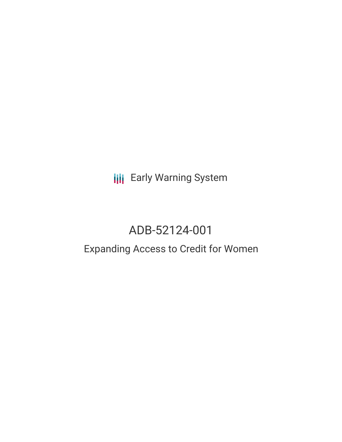**III** Early Warning System

# ADB-52124-001

## Expanding Access to Credit for Women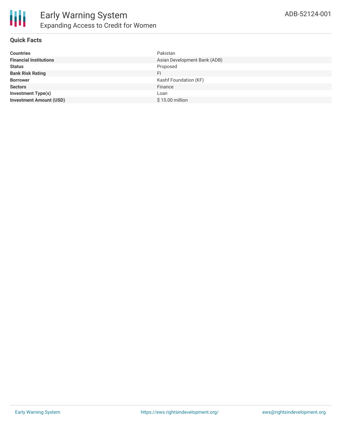

#### **Quick Facts**

| <b>Countries</b>               | Pakistan                     |
|--------------------------------|------------------------------|
| <b>Financial Institutions</b>  | Asian Development Bank (ADB) |
| <b>Status</b>                  | Proposed                     |
| <b>Bank Risk Rating</b>        | FI                           |
| <b>Borrower</b>                | Kashf Foundation (KF)        |
| <b>Sectors</b>                 | Finance                      |
| <b>Investment Type(s)</b>      | Loan                         |
| <b>Investment Amount (USD)</b> | \$15.00 million              |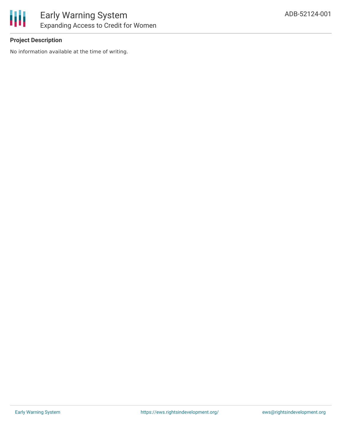

#### **Project Description**

No information available at the time of writing.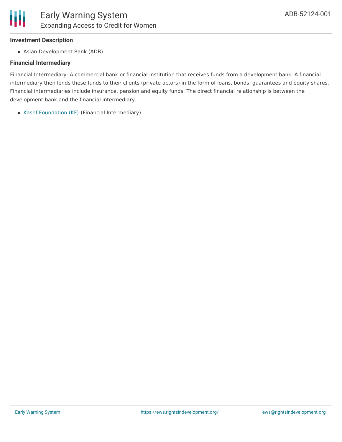#### **Investment Description**

Asian Development Bank (ADB)

#### **Financial Intermediary**

Financial Intermediary: A commercial bank or financial institution that receives funds from a development bank. A financial intermediary then lends these funds to their clients (private actors) in the form of loans, bonds, guarantees and equity shares. Financial intermediaries include insurance, pension and equity funds. The direct financial relationship is between the development bank and the financial intermediary.

Kashf [Foundation](file:///actor/1785/) (KF) (Financial Intermediary)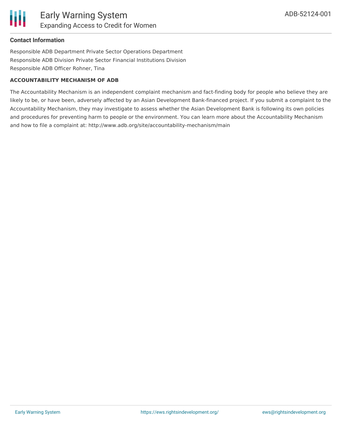

#### **Contact Information**

Responsible ADB Department Private Sector Operations Department Responsible ADB Division Private Sector Financial Institutions Division Responsible ADB Officer Rohner, Tina

#### **ACCOUNTABILITY MECHANISM OF ADB**

The Accountability Mechanism is an independent complaint mechanism and fact-finding body for people who believe they are likely to be, or have been, adversely affected by an Asian Development Bank-financed project. If you submit a complaint to the Accountability Mechanism, they may investigate to assess whether the Asian Development Bank is following its own policies and procedures for preventing harm to people or the environment. You can learn more about the Accountability Mechanism and how to file a complaint at: http://www.adb.org/site/accountability-mechanism/main